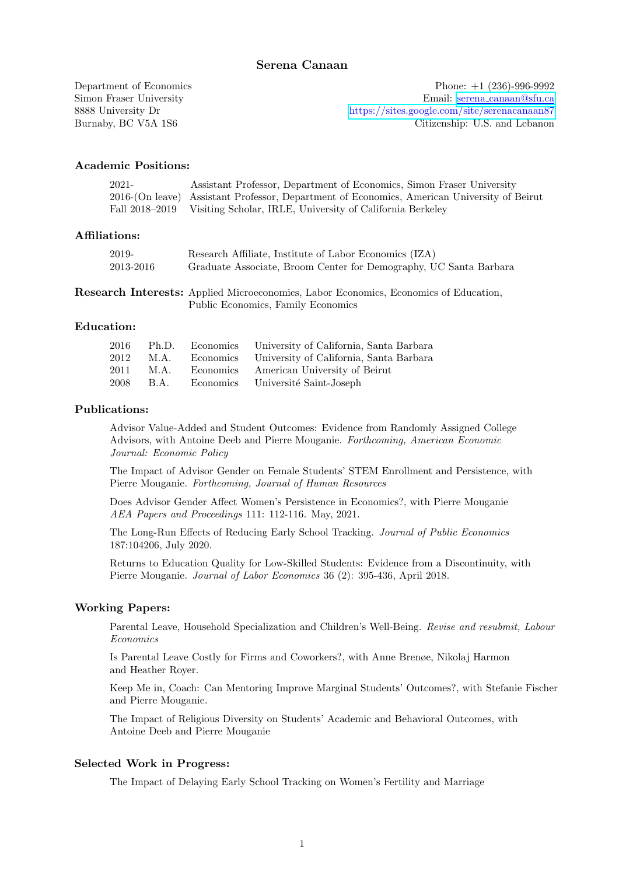Department of Economics Phone: +1 (236)-996-9992 Simon Fraser University Email: serena [canaan@sfu.ca](mailto:serena_canaan@sfu.ca) 8888 University Dr <https://sites.google.com/site/serenacanaan87> Burnaby, BC V5A 1S6 Citizenship: U.S. and Lebanon

#### Academic Positions:

| $2021 -$ | Assistant Professor, Department of Economics, Simon Fraser University                       |
|----------|---------------------------------------------------------------------------------------------|
|          | 2016-(On leave) Assistant Professor, Department of Economics, American University of Beirut |
|          | Fall 2018–2019 Visiting Scholar, IRLE, University of California Berkeley                    |

### Affiliations:

| 2019-     | Research Affiliate, Institute of Labor Economics (IZA)            |
|-----------|-------------------------------------------------------------------|
| 2013-2016 | Graduate Associate, Broom Center for Demography, UC Santa Barbara |

Research Interests: Applied Microeconomics, Labor Economics, Economics of Education, Public Economics, Family Economics

#### Education:

| 2016 | Ph.D. | Economics University of California, Santa Barbara |
|------|-------|---------------------------------------------------|
| 2012 | M.A.  | Economics University of California, Santa Barbara |
| 2011 | M.A.  | Economics American University of Beirut           |
| 2008 | B.A.  | Economics Université Saint-Joseph                 |

# Publications:

Advisor Value-Added and Student Outcomes: Evidence from Randomly Assigned College Advisors, with Antoine Deeb and Pierre Mouganie. Forthcoming, American Economic Journal: Economic Policy

The Impact of Advisor Gender on Female Students' STEM Enrollment and Persistence, with Pierre Mouganie. Forthcoming, Journal of Human Resources

Does Advisor Gender Affect Women's Persistence in Economics?, with Pierre Mouganie AEA Papers and Proceedings 111: 112-116. May, 2021.

The Long-Run Effects of Reducing Early School Tracking. Journal of Public Economics 187:104206, July 2020.

Returns to Education Quality for Low-Skilled Students: Evidence from a Discontinuity, with Pierre Mouganie. Journal of Labor Economics 36 (2): 395-436, April 2018.

#### Working Papers:

Parental Leave, Household Specialization and Children's Well-Being. Revise and resubmit, Labour Economics

Is Parental Leave Costly for Firms and Coworkers?, with Anne Brenøe, Nikolaj Harmon and Heather Royer.

Keep Me in, Coach: Can Mentoring Improve Marginal Students' Outcomes?, with Stefanie Fischer and Pierre Mouganie.

The Impact of Religious Diversity on Students' Academic and Behavioral Outcomes, with Antoine Deeb and Pierre Mouganie

#### Selected Work in Progress:

The Impact of Delaying Early School Tracking on Women's Fertility and Marriage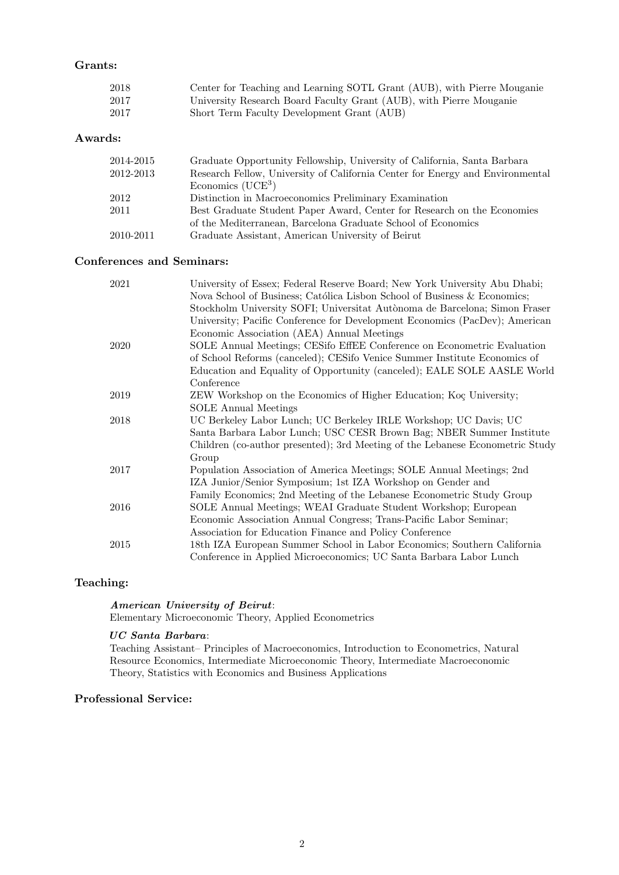# Grants:

| 2018 | Center for Teaching and Learning SOTL Grant (AUB), with Pierre Mouganie |
|------|-------------------------------------------------------------------------|
| 2017 | University Research Board Faculty Grant (AUB), with Pierre Mouganie     |
| 2017 | Short Term Faculty Development Grant (AUB)                              |

### Awards:

| 2014-2015 | Graduate Opportunity Fellowship, University of California, Santa Barbara      |
|-----------|-------------------------------------------------------------------------------|
| 2012-2013 | Research Fellow, University of California Center for Energy and Environmental |
|           | Economics $(UCE3)$                                                            |
| 2012      | Distinction in Macroeconomics Preliminary Examination                         |
| 2011      | Best Graduate Student Paper Award, Center for Research on the Economies       |
|           | of the Mediterranean, Barcelona Graduate School of Economics                  |
| 2010-2011 | Graduate Assistant, American University of Beirut                             |

# Conferences and Seminars:

| 2021 | University of Essex; Federal Reserve Board; New York University Abu Dhabi;    |
|------|-------------------------------------------------------------------------------|
|      | Nova School of Business; Católica Lisbon School of Business & Economics;      |
|      | Stockholm University SOFI; Universitat Autònoma de Barcelona; Simon Fraser    |
|      | University; Pacific Conference for Development Economics (PacDev); American   |
|      | Economic Association (AEA) Annual Meetings                                    |
| 2020 | SOLE Annual Meetings; CESifo EffEE Conference on Econometric Evaluation       |
|      | of School Reforms (canceled); CESifo Venice Summer Institute Economics of     |
|      | Education and Equality of Opportunity (canceled); EALE SOLE AASLE World       |
|      | Conference                                                                    |
| 2019 | ZEW Workshop on the Economics of Higher Education; Koç University;            |
|      | <b>SOLE</b> Annual Meetings                                                   |
| 2018 | UC Berkeley Labor Lunch; UC Berkeley IRLE Workshop; UC Davis; UC              |
|      | Santa Barbara Labor Lunch; USC CESR Brown Bag; NBER Summer Institute          |
|      | Children (co-author presented); 3rd Meeting of the Lebanese Econometric Study |
|      | Group                                                                         |
| 2017 | Population Association of America Meetings; SOLE Annual Meetings; 2nd         |
|      | IZA Junior/Senior Symposium; 1st IZA Workshop on Gender and                   |
|      | Family Economics; 2nd Meeting of the Lebanese Econometric Study Group         |
| 2016 | SOLE Annual Meetings; WEAI Graduate Student Workshop; European                |
|      | Economic Association Annual Congress; Trans-Pacific Labor Seminar;            |
|      | Association for Education Finance and Policy Conference                       |
| 2015 | 18th IZA European Summer School in Labor Economics; Southern California       |
|      | Conference in Applied Microeconomics; UC Santa Barbara Labor Lunch            |

# Teaching:

#### American University of Beirut:

Elementary Microeconomic Theory, Applied Econometrics

## UC Santa Barbara:

Teaching Assistant– Principles of Macroeconomics, Introduction to Econometrics, Natural Resource Economics, Intermediate Microeconomic Theory, Intermediate Macroeconomic Theory, Statistics with Economics and Business Applications

# Professional Service: